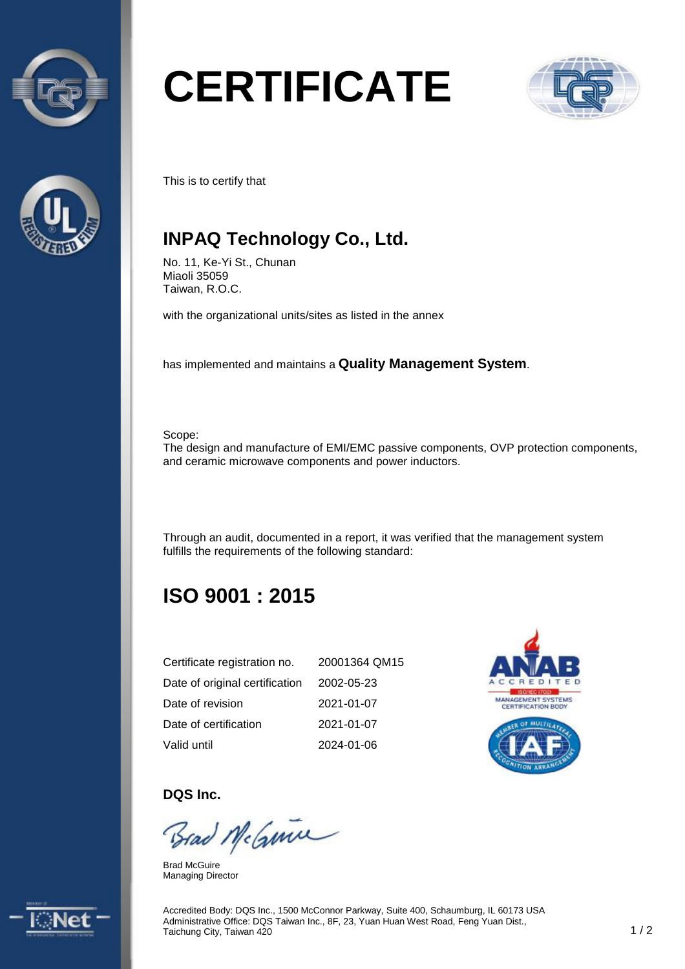



# **CERTIFICATE**



This is to certify that

## **INPAQ Technology Co., Ltd.**

No. 11, Ke-Yi St., Chunan Miaoli 35059 Taiwan, R.O.C.

with the organizational units/sites as listed in the annex

has implemented and maintains a **Quality Management System**.

Scope:

The design and manufacture of EMI/EMC passive components, OVP protection components, and ceramic microwave components and power inductors.

Through an audit, documented in a report, it was verified that the management system fulfills the requirements of the following standard:

# **ISO 9001 : 2015**

| Certificate registration no.   | 20001364 QM15 |
|--------------------------------|---------------|
| Date of original certification | 2002-05-23    |
| Date of revision               | 2021-01-07    |
| Date of certification          | 2021-01-07    |
| Valid until                    | 2024-01-06    |



#### **DQS Inc.**

Brad McGuine

Brad McGuire Managing Director



Accredited Body: DQS Inc., 1500 McConnor Parkway, Suite 400, Schaumburg, IL 60173 USA Administrative Office: DQS Taiwan Inc., 8F, 23, Yuan Huan West Road, Feng Yuan Dist., Taichung City, Taiwan 420 1 and the property of the contract of the contract of the contract of the contract of the contract of the contract of the contract of the contract of the contract of the contract of the contract o